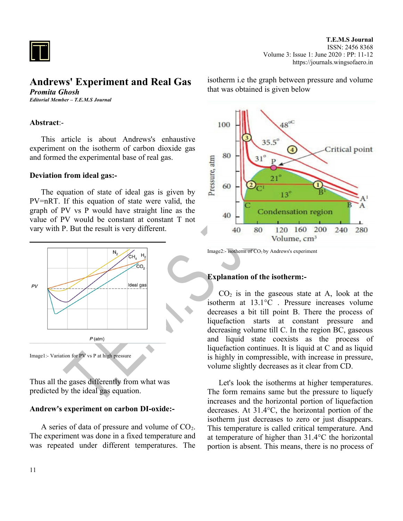

# **Andrews' Experiment and Real Gas** *Promita Ghosh*

*Editorial Member – T.E.M.S Journal*

### **Abstract**:-

This article is about Andrews's enhaustive experiment on the isotherm of carbon dioxide gas and formed the experimental base of real gas.

### **Deviation from ideal gas:-**

The equation of state of ideal gas is given by PV=nRT. If this equation of state were valid, the graph of PV vs P would have straight line as the value of PV would be constant at constant T not vary with P. But the result is very different.



Thus all the gases differently from what was predicted by the ideal gas equation.

### **Andrew's experiment on carbon DI-oxide:-**

A series of data of pressure and volume of  $CO<sub>2</sub>$ . The experiment was done in a fixed temperature and was repeated under different temperatures. The

isotherm i.e the graph between pressure and volume that was obtained is given below



Image2:- isotherm of CO<sub>2</sub> by Andrews's experiment

#### **Explanation of the isotherm:-**

 $CO<sub>2</sub>$  is in the gaseous state at A, look at the isotherm at 13.1°C . Pressure increases volume decreases a bit till point B. There the process of liquefaction starts at constant pressure and decreasing volume till C. In the region BC, gaseous and liquid state coexists as the process of liquefaction continues. It is liquid at C and as liquid is highly in compressible, with increase in pressure, volume slightly decreases as it clear from CD.

Let's look the isotherms at higher temperatures. The form remains same but the pressure to liquefy increases and the horizontal portion of liquefaction decreases. At 31.4°C, the horizontal portion of the isotherm just decreases to zero or just disappears. This temperature is called critical temperature. And at temperature of higher than 31.4°C the horizontal portion is absent. This means, there is no process of